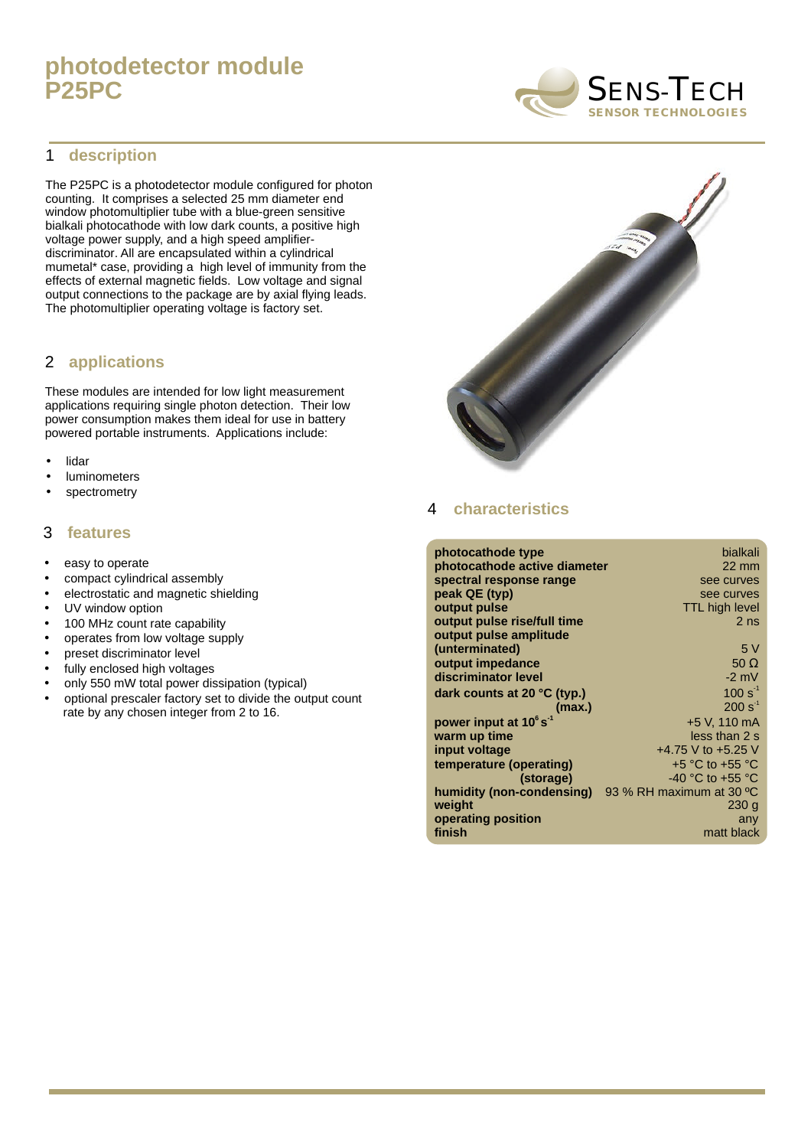# **photodetector module P25PC**

#### 1 **description**

The P25PC is a photodetector module configured for photon counting. It comprises a selected 25 mm diameter end window photomultiplier tube with a blue-green sensitive bialkali photocathode with low dark counts, a positive high voltage power supply, and a high speed amplifierdiscriminator. All are encapsulated within a cylindrical mumetal\* case, providing a high level of immunity from the effects of external magnetic fields. Low voltage and signal output connections to the package are by axial flying leads. The photomultiplier operating voltage is factory set.

### **applications** 2

These modules are intended for low light measurement applications requiring single photon detection. Their low power consumption makes them ideal for use in battery powered portable instruments. Applications include:

- lidar •
- luminometers •
- spectrometry •

#### 3 **features**

- easy to operate
- compact cylindrical assembly
- electrostatic and magnetic shielding
- UV window option
- 100 MHz count rate capability
- operates from low voltage supply
- preset discriminator level
- fully enclosed high voltages
- only 550 mW total power dissipation (typical)
- optional prescaler factory set to divide the output count rate by any chosen integer from 2 to 16.



#### 4 **characteristics**

| photocathode type                    | bialkali                 |
|--------------------------------------|--------------------------|
| photocathode active diameter         | $22 \text{ mm}$          |
| spectral response range              | see curves               |
| peak QE (typ)                        | see curves               |
| output pulse                         | <b>TTL high level</b>    |
| output pulse rise/full time          | 2 <sub>ns</sub>          |
| output pulse amplitude               |                          |
| (unterminated)                       | 5 V                      |
| output impedance                     | 50 $\Omega$              |
| discriminator level                  | $-2$ mV                  |
| dark counts at 20 $\degree$ C (typ.) | $100 s^{-1}$             |
| (max.)                               | $200 s-1$                |
| power input at 10°s <sup>-1</sup>    | +5 V, 110 mA             |
| warm up time                         | less than 2 s            |
| input voltage                        | +4.75 V to +5.25 V       |
| temperature (operating)              | $+5$ °C to $+55$ °C      |
| (storage)                            | -40 °C to +55 °C         |
| humidity (non-condensing)            | 93 % RH maximum at 30 °C |
| weight                               | 230 g                    |
| operating position                   | any                      |
| finish                               | matt black               |